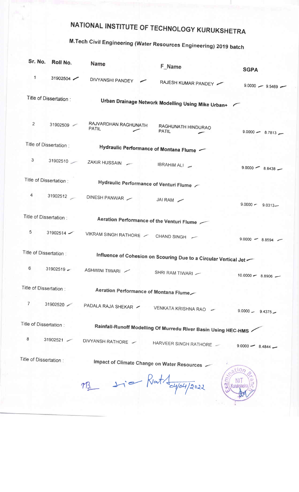## NATIONAL INSTITUTE OF TECHNOLOGY KURUKSHETRA

## M.Tech Civil Engineering (Water Resources Engineering) 2019 batch

| Sr. No.                                                                                    | Roll No.                | Name                                                             | <b>F_Name</b>                                      | <b>SGPA</b>          |
|--------------------------------------------------------------------------------------------|-------------------------|------------------------------------------------------------------|----------------------------------------------------|----------------------|
| $\mathbf{1}$                                                                               | $31902504$ $\sim$       | DIVYANSHI PANDEY                                                 | RAJESH KUMAR PANDEY                                | $9.0000 - 9.5469$    |
|                                                                                            | Title of Dissertation : |                                                                  | Urban Drainage Network Modelling Using Mike Urban+ |                      |
| $\overline{2}$                                                                             | 31902509                | RAJVARDHAN RAGHUNATH<br><b>PATIL</b>                             | RAGHUNATH HINDURAO<br><b>PATIL</b>                 | $9.0000 - 8.7813 -$  |
| Title of Dissertation:                                                                     |                         |                                                                  | Hydraulic Performance of Montana Flume             |                      |
| 3                                                                                          |                         | 31902510 ZAKIR HUSSAIN                                           | IBRAHIM ALI                                        | $9.0000 - 8.8438 -$  |
| Title of Dissertation:                                                                     |                         | Hydraulic Performance of Venturi Flume                           |                                                    |                      |
| 4                                                                                          |                         | 31902512 DINESH PANWAR                                           | JAI RAM                                            | $9.0000 - 9.0313 -$  |
|                                                                                            | Title of Dissertation:  |                                                                  | Aeration Performance of the Venturi Flume          |                      |
| 5                                                                                          | $31902514$ $\checkmark$ | VIKRAM SINGH RATHORE / CHAND SINGH /                             |                                                    | $9.0000 - 8.8594$ -  |
| Title of Dissertation:<br>Influence of Cohesion on Scouring Due to a Circular Vertical Jet |                         |                                                                  |                                                    |                      |
| $6\phantom{1}6$                                                                            | 31902519                | ASHWINI TIWARI                                                   | SHRI RAM TIWARI -                                  | $10.0000 - 8.8906$ - |
| Title of Dissertation:                                                                     |                         | Aeration Performance of Montana Flume                            |                                                    |                      |
| $\overline{7}$                                                                             | 31902520                | PADALA RAJA SHEKAR /                                             | VENKATA KRISHNA RAO                                | $9.0000 - 9.4375 -$  |
| Title of Dissertation:                                                                     |                         | Rainfall-Runoff Modelling Of Murredu River Basin Using HEC-HMS / |                                                    |                      |
| 8                                                                                          | 31902521                | DIVYANSH RATHORE                                                 | HARVEER SINGH RATHORE                              | $9.0000 - 8.4844 -$  |
| Title of Dissertation:                                                                     |                         | Impact of Climate Change on Water Resources<br>110/              |                                                    |                      |
|                                                                                            |                         | <u>M3.</u>                                                       | $y_i =$ Kat $\frac{dy_0}{y_0^2}$                   |                      |